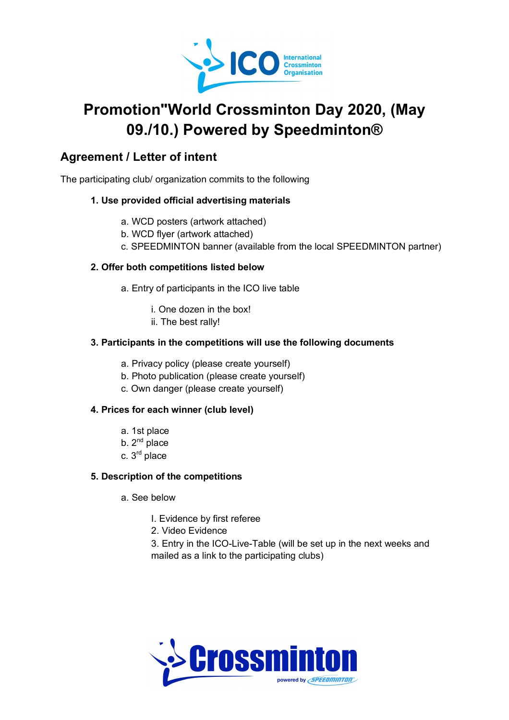

# **Promotion"World Crossminton Day 2020, (May 09./10.) Powered by Speedminton®**

### **Agreement / Letter of intent**

The participating club/ organization commits to the following

#### **1. Use provided official advertising materials**

- a. WCD posters (artwork attached)
- b. WCD flyer (artwork attached)
- c. SPEEDMINTON banner (available from the local SPEEDMINTON partner)

#### **2. Offer both competitions listed below**

- a. Entry of participants in the ICO live table
	- i. One dozen in the box!
	- ii. The best rally!

#### **3. Participants in the competitions will use the following documents**

- a. Privacy policy (please create yourself)
- b. Photo publication (please create yourself)
- c. Own danger (please create yourself)

#### **4. Prices for each winner (club level)**

- a. 1st place
- b.  $2^{nd}$  place
- c.  $3<sup>rd</sup>$  place

#### **5. Description of the competitions**

- a. See below
	- I. Evidence by first referee
	- 2. Video Evidence
	- 3. Entry in the ICO-Live-Table (will be set up in the next weeks and mailed as a link to the participating clubs)

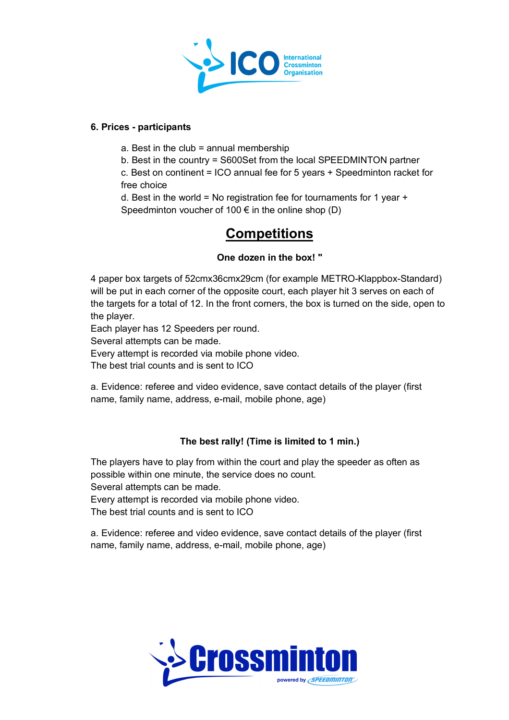

#### **6. Prices - participants**

- a. Best in the club  $=$  annual membership
- b. Best in the country = S600Set from the local SPEEDMINTON partner

c. Best on continent = ICO annual fee for 5 years + Speedminton racket for free choice

d. Best in the world = No registration fee for tournaments for 1 year  $+$ Speedminton voucher of 100  $\epsilon$  in the online shop (D)

## **Competitions**

#### **One dozen in the box! "**

4 paper box targets of 52cmx36cmx29cm (for example METRO-Klappbox-Standard) will be put in each corner of the opposite court, each player hit 3 serves on each of the targets for a total of 12. In the front corners, the box is turned on the side, open to the player.

Each player has 12 Speeders per round.

Several attempts can be made.

Every attempt is recorded via mobile phone video.

The best trial counts and is sent to ICO

a. Evidence: referee and video evidence, save contact details of the player (first name, family name, address, e-mail, mobile phone, age)

#### **The best rally! (Time is limited to 1 min.)**

The players have to play from within the court and play the speeder as often as possible within one minute, the service does no count.

Several attempts can be made.

Every attempt is recorded via mobile phone video.

The best trial counts and is sent to ICO

a. Evidence: referee and video evidence, save contact details of the player (first name, family name, address, e-mail, mobile phone, age)

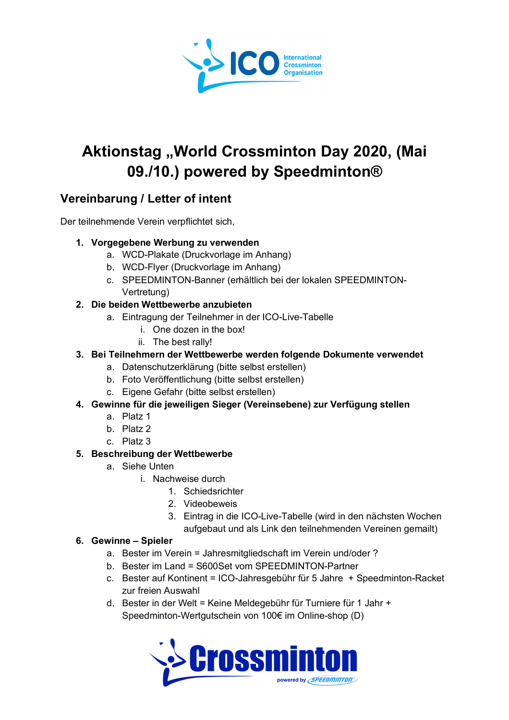

# Aktionstag "World Crossminton Day 2020, (Mai **09./10.) powered by Speedminton®**

### **Vereinbarung / Letter of intent**

Der teilnehmende Verein verpflichtet sich,

#### **1. Vorgegebene Werbung zu verwenden**

- a. WCD-Plakate (Druckvorlage im Anhang)
- b. WCD-Flyer (Druckvorlage im Anhang)
- c. SPEEDMINTON-Banner (erhältlich bei der lokalen SPEEDMINTON-Vertretung)
- **2. Die beiden Wettbewerbe anzubieten**
	- a. Eintragung der Teilnehmer in der ICO-Live-Tabelle
		- i. One dozen in the box!
		- ii. The best rally!

#### **3. Bei Teilnehmern der Wettbewerbe werden folgende Dokumente verwendet**

- a. Datenschutzerklärung (bitte selbst erstellen)
- b. Foto Veröffentlichung (bitte selbst erstellen)
- c. Eigene Gefahr (bitte selbst erstellen)

#### **4. Gewinne für die jeweiligen Sieger (Vereinsebene) zur Verfügung stellen**

- a. Platz 1
- b. Platz 2
- c. Platz 3

#### **5. Beschreibung der Wettbewerbe**

- a. Siehe Unten
	- i. Nachweise durch
		- 1. Schiedsrichter
		- 2. Videobeweis
		- 3. Eintrag in die ICO-Live-Tabelle (wird in den nächsten Wochen aufgebaut und als Link den teilnehmenden Vereinen gemailt)

#### **6. Gewinne – Spieler**

- a. Bester im Verein = Jahresmitgliedschaft im Verein und/oder ?
- b. Bester im Land = S600Set vom SPEEDMINTON-Partner
- c. Bester auf Kontinent = ICO-Jahresgebühr für 5 Jahre + Speedminton-Racket zur freien Auswahl
- d. Bester in der Welt = Keine Meldegebühr für Turniere für 1 Jahr + Speedminton-Wertgutschein von 100€ im Online-shop (D)